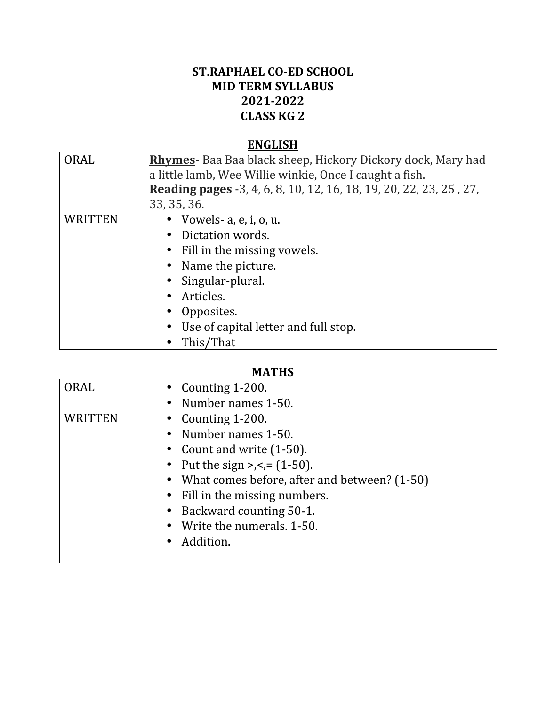### **ST.RAPHAEL CO-ED SCHOOL MID TERM SYLLABUS 2021-2022 CLASS KG 2**

# **ENGLISH**

| ORAL    | <b>Rhymes</b> - Baa Baa black sheep, Hickory Dickory dock, Mary had<br>a little lamb, Wee Willie winkie, Once I caught a fish. |
|---------|--------------------------------------------------------------------------------------------------------------------------------|
|         | Reading pages -3, 4, 6, 8, 10, 12, 16, 18, 19, 20, 22, 23, 25, 27,                                                             |
|         | 33, 35, 36.                                                                                                                    |
| WRITTEN | Vowels- a, e, i, o, u.                                                                                                         |
|         | Dictation words.                                                                                                               |
|         | Fill in the missing vowels.                                                                                                    |
|         | Name the picture.                                                                                                              |
|         | Singular-plural.                                                                                                               |
|         | Articles.                                                                                                                      |
|         | Opposites.                                                                                                                     |
|         | Use of capital letter and full stop.                                                                                           |
|         | This/That                                                                                                                      |

#### **MATHS**

| <b>ORAL</b> | Counting 1-200.                              |
|-------------|----------------------------------------------|
|             | Number names 1-50.                           |
| WRITTEN     | Counting 1-200.                              |
|             | Number names 1-50.                           |
|             | Count and write (1-50).                      |
|             | Put the sign $\ge$ , $\lt$ , = (1-50).       |
|             | What comes before, after and between? (1-50) |
|             | Fill in the missing numbers.                 |
|             | Backward counting 50-1.                      |
|             | Write the numerals. 1-50.                    |
|             | Addition.                                    |
|             |                                              |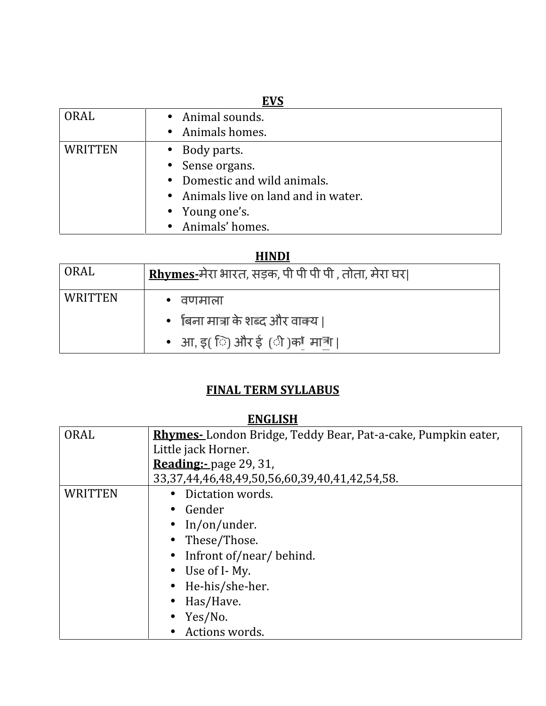## **EVS**

| ORAL           | Animal sounds.                     |
|----------------|------------------------------------|
|                | Animals homes.                     |
| <b>WRITTEN</b> | Body parts.                        |
|                | Sense organs.                      |
|                | Domestic and wild animals.         |
|                | Animals live on land and in water. |
|                | Young one's.                       |
|                | Animals' homes.                    |

#### **HINDI**

| ORAL           | Rhymes-मेरा भारत, सड़क, पी पी पी पी , तोता, मेरा घर। |
|----------------|------------------------------------------------------|
| <b>WRITTEN</b> | वणमाला                                               |
|                | बिना मात्रा के शब्द और वाक्य                         |
|                | आ, इ( ि) और ई (ी )को मात्रा                          |

# **FINAL TERM SYLLABUS**

## **ENGLISH**

| ORAL    | <b>Rhymes-</b> London Bridge, Teddy Bear, Pat-a-cake, Pumpkin eater, |
|---------|----------------------------------------------------------------------|
|         | Little jack Horner.                                                  |
|         | <b>Reading:</b> -page 29, 31,                                        |
|         | 33, 37, 44, 46, 48, 49, 50, 56, 60, 39, 40, 41, 42, 54, 58.          |
| WRITTEN | Dictation words.                                                     |
|         | Gender                                                               |
|         | In/on/under.                                                         |
|         | These/Those.                                                         |
|         | Infront of/near/behind.                                              |
|         | Use of I- My.                                                        |
|         | He-his/she-her.                                                      |
|         | Has/Have.                                                            |
|         | Yes/No.                                                              |
|         | Actions words.                                                       |